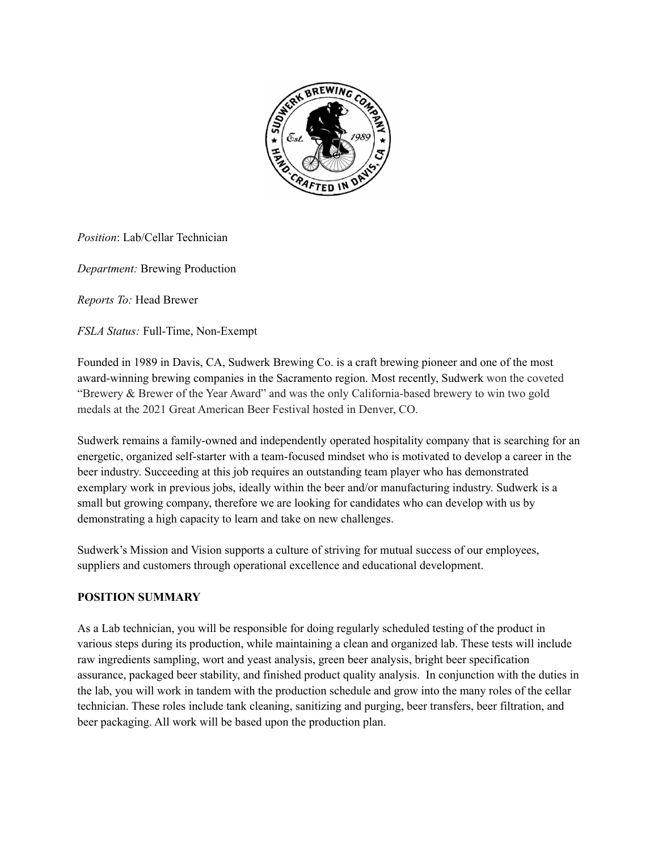

*Position*: Lab/Cellar Technician

*Department:* Brewing Production

*Reports To:* Head Brewer

*FSLA Status:* Full-Time, Non-Exempt

Founded in 1989 in Davis, CA, Sudwerk Brewing Co. is a craft brewing pioneer and one of the most award-winning brewing companies in the Sacramento region. Most recently, Sudwerk won the coveted "Brewery & Brewer of the Year Award" and was the only California-based brewery to win two gold medals at the 2021 Great American Beer Festival hosted in Denver, CO.

Sudwerk remains a family-owned and independently operated hospitality company that is searching for an energetic, organized self-starter with a team-focused mindset who is motivated to develop a career in the beer industry. Succeeding at this job requires an outstanding team player who has demonstrated exemplary work in previous jobs, ideally within the beer and/or manufacturing industry. Sudwerk is a small but growing company, therefore we are looking for candidates who can develop with us by demonstrating a high capacity to learn and take on new challenges.

Sudwerk's Mission and Vision supports a culture of striving for mutual success of our employees, suppliers and customers through operational excellence and educational development.

# **POSITION SUMMARY**

As a Lab technician, you will be responsible for doing regularly scheduled testing of the product in various steps during its production, while maintaining a clean and organized lab. These tests will include raw ingredients sampling, wort and yeast analysis, green beer analysis, bright beer specification assurance, packaged beer stability, and finished product quality analysis. In conjunction with the duties in the lab, you will work in tandem with the production schedule and grow into the many roles of the cellar technician. These roles include tank cleaning, sanitizing and purging, beer transfers, beer filtration, and beer packaging. All work will be based upon the production plan.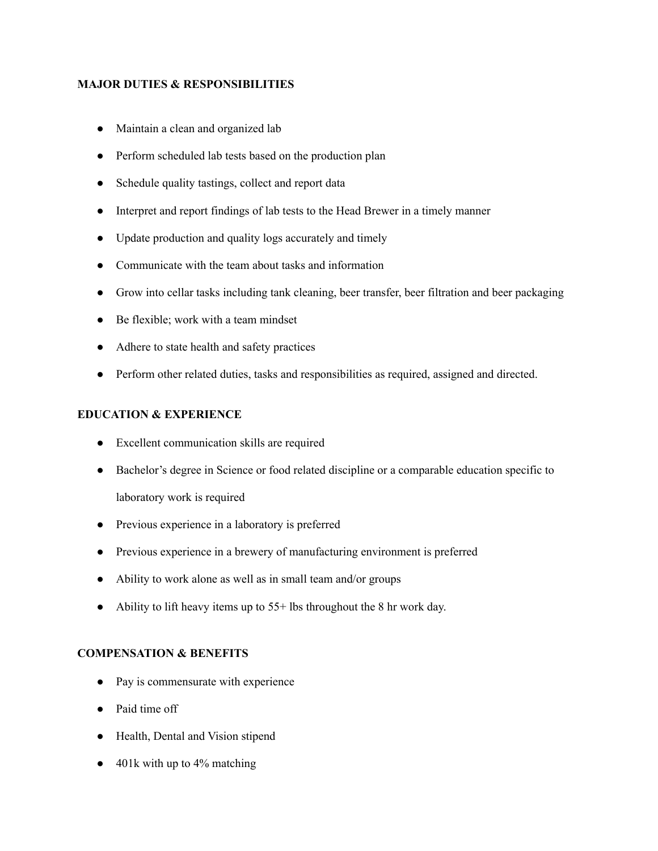### **MAJOR DUTIES & RESPONSIBILITIES**

- Maintain a clean and organized lab
- Perform scheduled lab tests based on the production plan
- Schedule quality tastings, collect and report data
- Interpret and report findings of lab tests to the Head Brewer in a timely manner
- Update production and quality logs accurately and timely
- Communicate with the team about tasks and information
- Grow into cellar tasks including tank cleaning, beer transfer, beer filtration and beer packaging
- Be flexible; work with a team mindset
- Adhere to state health and safety practices
- Perform other related duties, tasks and responsibilities as required, assigned and directed.

### **EDUCATION & EXPERIENCE**

- Excellent communication skills are required
- Bachelor's degree in Science or food related discipline or a comparable education specific to laboratory work is required
- Previous experience in a laboratory is preferred
- Previous experience in a brewery of manufacturing environment is preferred
- Ability to work alone as well as in small team and/or groups
- Ability to lift heavy items up to 55+ lbs throughout the 8 hr work day.

## **COMPENSATION & BENEFITS**

- Pay is commensurate with experience
- Paid time off
- Health, Dental and Vision stipend
- $\bullet$  401k with up to 4% matching